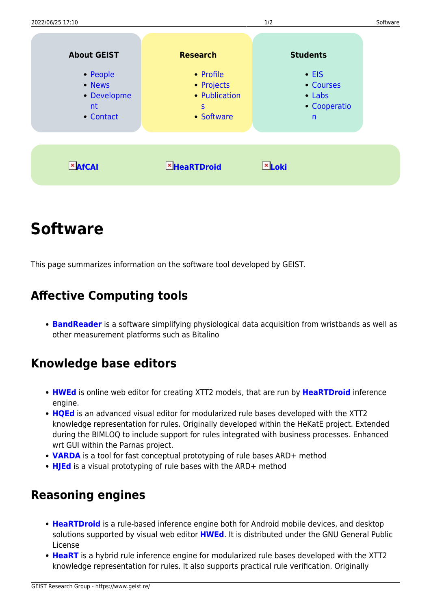<span id="page-0-0"></span>

# **Software**

This page summarizes information on the software tool developed by GEIST.

## **Affective Computing tools**

**[BandReader](https://www.geist.re/pub:software:bandreader)** is a software simplifying physiological data acquisition from wristbands as well as other measurement platforms such as Bitalino

## **Knowledge base editors**

- **[HWEd](https://heartdroid.re/doku.php?id=pub:software:hwed:start)** is online web editor for creating XTT2 models, that are run by **[HeaRTDroid](https://heartdroid.re/)** inference engine.
- **[HQEd](https://www.geist.re/pub:software:hqed)** is an advanced visual editor for modularized rule bases developed with the XTT2 knowledge representation for rules. Originally developed within the HeKatE project. Extended during the BIMLOQ to include support for rules integrated with business processes. Enhanced wrt GUI within the Parnas project.
- **[VARDA](https://www.geist.re/pub:software:varda)** is a tool for fast conceptual prototyping of rule bases ARD+ method
- **· [HJEd](https://www.geist.re/pub:software:hjed)** is a visual prototyping of rule bases with the ARD+ method

## **Reasoning engines**

- **[HeaRTDroid](https://heartdroid.re/)** is a rule-based inference engine both for Android mobile devices, and desktop solutions supported by visual web editor **[HWEd](https://heartdroid.re/doku.php?id=pub:software:hwed:start)**. It is distributed under the GNU General Public License
- **[HeaRT](https://www.geist.re/pub:software:heart)** is a hybrid rule inference engine for modularized rule bases developed with the XTT2 knowledge representation for rules. It also supports practical rule verification. Originally